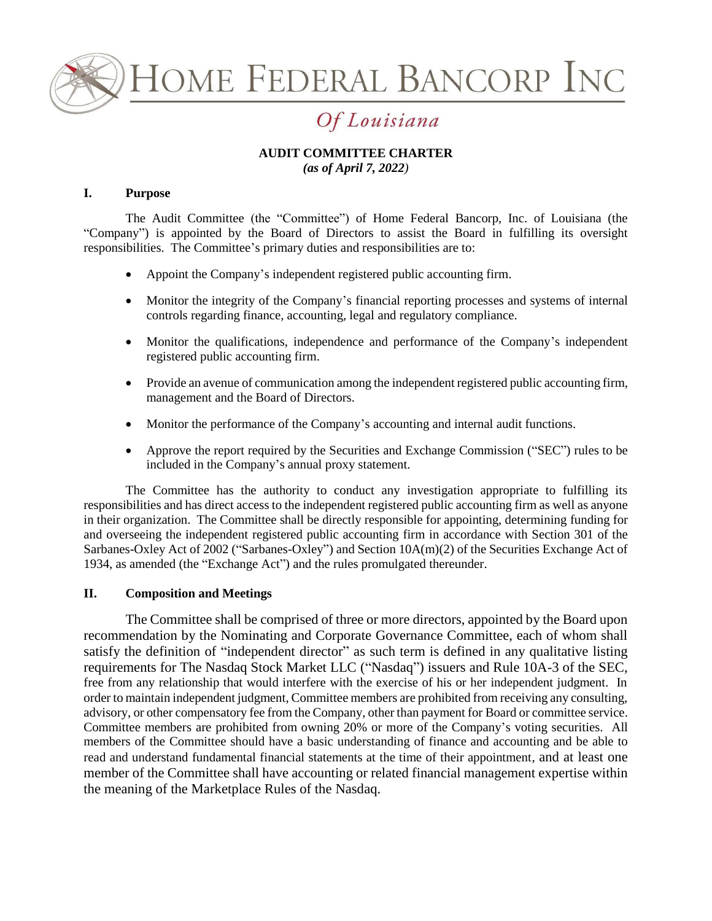

**IOME FEDERAL BANCORP INC** 

# Of Louisiana

#### **AUDIT COMMITTEE CHARTER** *(as of April 7, 2022)*

### **I. Purpose**

The Audit Committee (the "Committee") of Home Federal Bancorp, Inc. of Louisiana (the "Company") is appointed by the Board of Directors to assist the Board in fulfilling its oversight responsibilities. The Committee's primary duties and responsibilities are to:

- Appoint the Company's independent registered public accounting firm.
- Monitor the integrity of the Company's financial reporting processes and systems of internal controls regarding finance, accounting, legal and regulatory compliance.
- Monitor the qualifications, independence and performance of the Company's independent registered public accounting firm.
- Provide an avenue of communication among the independent registered public accounting firm, management and the Board of Directors.
- Monitor the performance of the Company's accounting and internal audit functions.
- Approve the report required by the Securities and Exchange Commission ("SEC") rules to be included in the Company's annual proxy statement.

The Committee has the authority to conduct any investigation appropriate to fulfilling its responsibilities and has direct access to the independent registered public accounting firm as well as anyone in their organization. The Committee shall be directly responsible for appointing, determining funding for and overseeing the independent registered public accounting firm in accordance with Section 301 of the Sarbanes-Oxley Act of 2002 ("Sarbanes-Oxley") and Section 10A(m)(2) of the Securities Exchange Act of 1934, as amended (the "Exchange Act") and the rules promulgated thereunder.

#### **II. Composition and Meetings**

The Committee shall be comprised of three or more directors, appointed by the Board upon recommendation by the Nominating and Corporate Governance Committee, each of whom shall satisfy the definition of "independent director" as such term is defined in any qualitative listing requirements for The Nasdaq Stock Market LLC ("Nasdaq") issuers and Rule 10A-3 of the SEC, free from any relationship that would interfere with the exercise of his or her independent judgment. In order to maintain independent judgment, Committee members are prohibited from receiving any consulting, advisory, or other compensatory fee from the Company, other than payment for Board or committee service. Committee members are prohibited from owning 20% or more of the Company's voting securities. All members of the Committee should have a basic understanding of finance and accounting and be able to read and understand fundamental financial statements at the time of their appointment, and at least one member of the Committee shall have accounting or related financial management expertise within the meaning of the Marketplace Rules of the Nasdaq.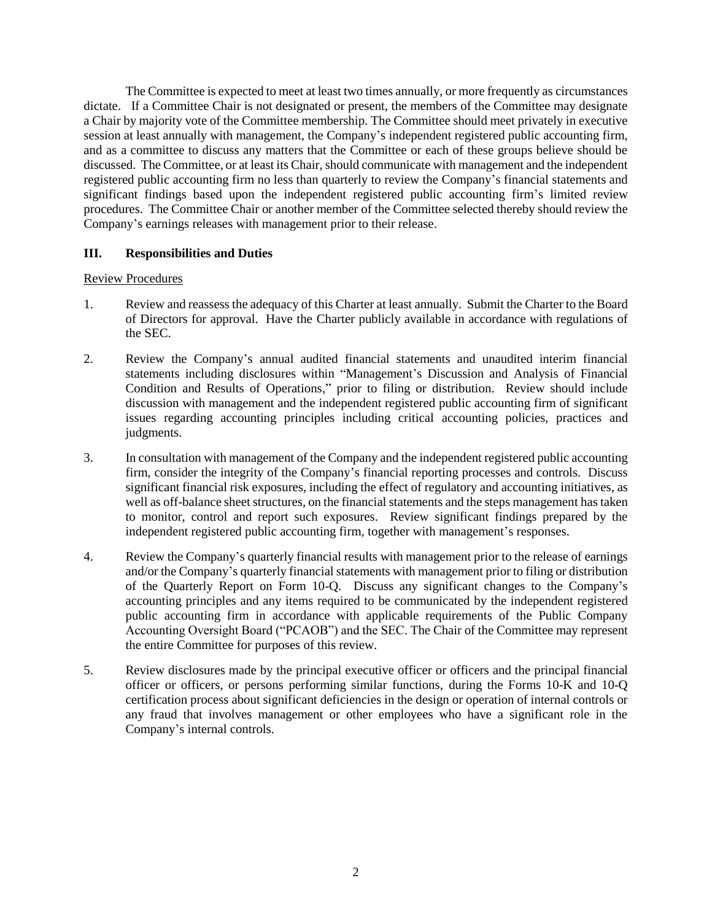The Committee is expected to meet at least two times annually, or more frequently as circumstances dictate. If a Committee Chair is not designated or present, the members of the Committee may designate a Chair by majority vote of the Committee membership. The Committee should meet privately in executive session at least annually with management, the Company's independent registered public accounting firm, and as a committee to discuss any matters that the Committee or each of these groups believe should be discussed. The Committee, or at least its Chair, should communicate with management and the independent registered public accounting firm no less than quarterly to review the Company's financial statements and significant findings based upon the independent registered public accounting firm's limited review procedures. The Committee Chair or another member of the Committee selected thereby should review the Company's earnings releases with management prior to their release.

# **III. Responsibilities and Duties**

## Review Procedures

- 1. Review and reassess the adequacy of this Charter at least annually. Submit the Charter to the Board of Directors for approval. Have the Charter publicly available in accordance with regulations of the SEC.
- 2. Review the Company's annual audited financial statements and unaudited interim financial statements including disclosures within "Management's Discussion and Analysis of Financial Condition and Results of Operations," prior to filing or distribution. Review should include discussion with management and the independent registered public accounting firm of significant issues regarding accounting principles including critical accounting policies, practices and judgments.
- 3. In consultation with management of the Company and the independent registered public accounting firm, consider the integrity of the Company's financial reporting processes and controls. Discuss significant financial risk exposures, including the effect of regulatory and accounting initiatives, as well as off-balance sheet structures, on the financial statements and the steps management has taken to monitor, control and report such exposures. Review significant findings prepared by the independent registered public accounting firm, together with management's responses.
- 4. Review the Company's quarterly financial results with management prior to the release of earnings and/or the Company's quarterly financial statements with management prior to filing or distribution of the Quarterly Report on Form 10-Q. Discuss any significant changes to the Company's accounting principles and any items required to be communicated by the independent registered public accounting firm in accordance with applicable requirements of the Public Company Accounting Oversight Board ("PCAOB") and the SEC. The Chair of the Committee may represent the entire Committee for purposes of this review.
- 5. Review disclosures made by the principal executive officer or officers and the principal financial officer or officers, or persons performing similar functions, during the Forms 10-K and 10-Q certification process about significant deficiencies in the design or operation of internal controls or any fraud that involves management or other employees who have a significant role in the Company's internal controls.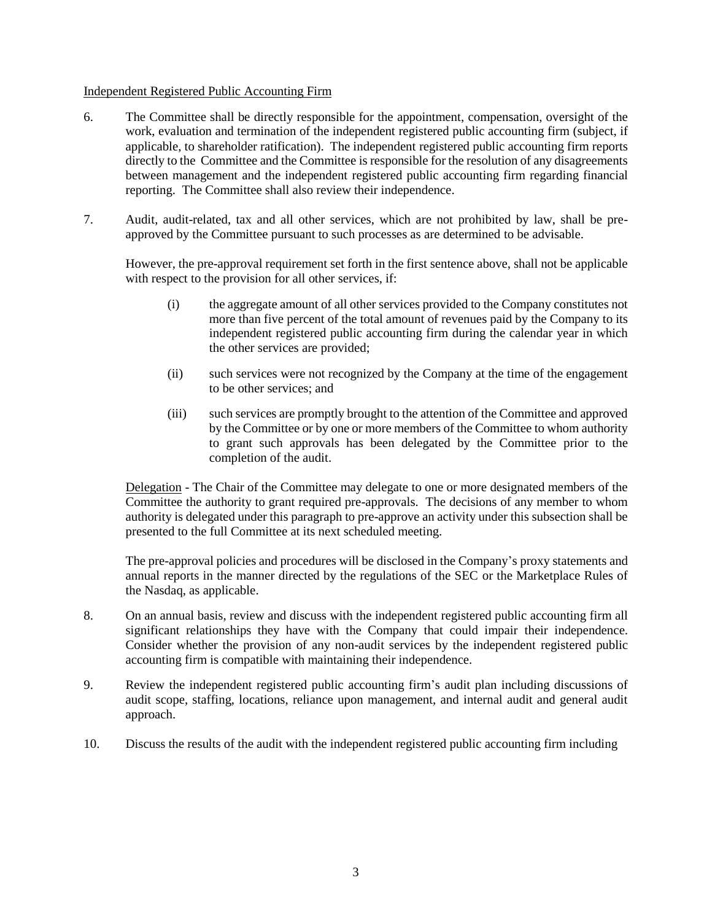#### Independent Registered Public Accounting Firm

- 6. The Committee shall be directly responsible for the appointment, compensation, oversight of the work, evaluation and termination of the independent registered public accounting firm (subject, if applicable, to shareholder ratification). The independent registered public accounting firm reports directly to the Committee and the Committee is responsible for the resolution of any disagreements between management and the independent registered public accounting firm regarding financial reporting. The Committee shall also review their independence.
- 7. Audit, audit-related, tax and all other services, which are not prohibited by law, shall be preapproved by the Committee pursuant to such processes as are determined to be advisable.

However, the pre-approval requirement set forth in the first sentence above, shall not be applicable with respect to the provision for all other services, if:

- (i) the aggregate amount of all other services provided to the Company constitutes not more than five percent of the total amount of revenues paid by the Company to its independent registered public accounting firm during the calendar year in which the other services are provided;
- (ii) such services were not recognized by the Company at the time of the engagement to be other services; and
- (iii) such services are promptly brought to the attention of the Committee and approved by the Committee or by one or more members of the Committee to whom authority to grant such approvals has been delegated by the Committee prior to the completion of the audit.

Delegation - The Chair of the Committee may delegate to one or more designated members of the Committee the authority to grant required pre-approvals. The decisions of any member to whom authority is delegated under this paragraph to pre-approve an activity under this subsection shall be presented to the full Committee at its next scheduled meeting.

The pre-approval policies and procedures will be disclosed in the Company's proxy statements and annual reports in the manner directed by the regulations of the SEC or the Marketplace Rules of the Nasdaq, as applicable.

- 8. On an annual basis, review and discuss with the independent registered public accounting firm all significant relationships they have with the Company that could impair their independence. Consider whether the provision of any non-audit services by the independent registered public accounting firm is compatible with maintaining their independence.
- 9. Review the independent registered public accounting firm's audit plan including discussions of audit scope, staffing, locations, reliance upon management, and internal audit and general audit approach.
- 10. Discuss the results of the audit with the independent registered public accounting firm including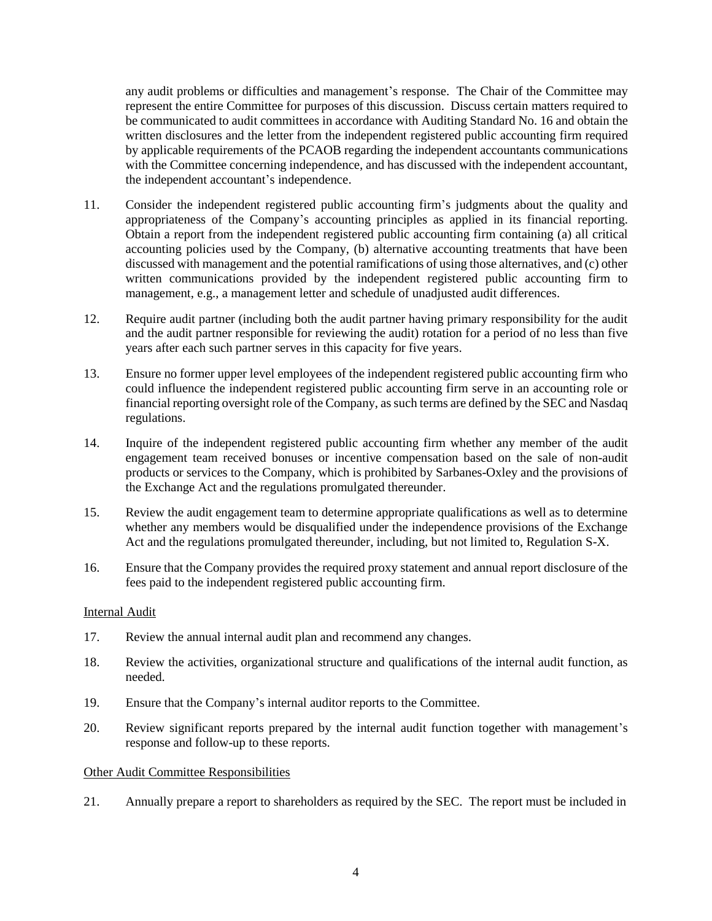any audit problems or difficulties and management's response. The Chair of the Committee may represent the entire Committee for purposes of this discussion. Discuss certain matters required to be communicated to audit committees in accordance with Auditing Standard No. 16 and obtain the written disclosures and the letter from the independent registered public accounting firm required by applicable requirements of the PCAOB regarding the independent accountants communications with the Committee concerning independence, and has discussed with the independent accountant, the independent accountant's independence.

- 11. Consider the independent registered public accounting firm's judgments about the quality and appropriateness of the Company's accounting principles as applied in its financial reporting. Obtain a report from the independent registered public accounting firm containing (a) all critical accounting policies used by the Company, (b) alternative accounting treatments that have been discussed with management and the potential ramifications of using those alternatives, and (c) other written communications provided by the independent registered public accounting firm to management, e.g., a management letter and schedule of unadjusted audit differences.
- 12. Require audit partner (including both the audit partner having primary responsibility for the audit and the audit partner responsible for reviewing the audit) rotation for a period of no less than five years after each such partner serves in this capacity for five years.
- 13. Ensure no former upper level employees of the independent registered public accounting firm who could influence the independent registered public accounting firm serve in an accounting role or financial reporting oversight role of the Company, as such terms are defined by the SEC and Nasdaq regulations.
- 14. Inquire of the independent registered public accounting firm whether any member of the audit engagement team received bonuses or incentive compensation based on the sale of non-audit products or services to the Company, which is prohibited by Sarbanes-Oxley and the provisions of the Exchange Act and the regulations promulgated thereunder.
- 15. Review the audit engagement team to determine appropriate qualifications as well as to determine whether any members would be disqualified under the independence provisions of the Exchange Act and the regulations promulgated thereunder, including, but not limited to, Regulation S-X.
- 16. Ensure that the Company provides the required proxy statement and annual report disclosure of the fees paid to the independent registered public accounting firm.

## Internal Audit

- 17. Review the annual internal audit plan and recommend any changes.
- 18. Review the activities, organizational structure and qualifications of the internal audit function, as needed.
- 19. Ensure that the Company's internal auditor reports to the Committee.
- 20. Review significant reports prepared by the internal audit function together with management's response and follow-up to these reports.

# Other Audit Committee Responsibilities

21. Annually prepare a report to shareholders as required by the SEC. The report must be included in